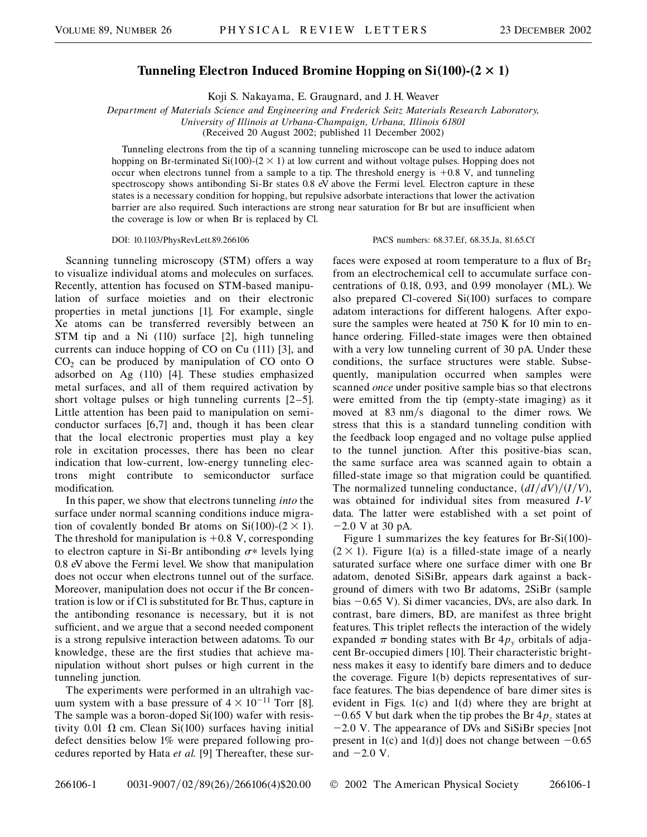## Tunneling Electron Induced Bromine Hopping on  $Si(100)$ - $(2 \times 1)$

Koji S. Nakayama, E. Graugnard, and J. H. Weaver

*Department of Materials Science and Engineering and Frederick Seitz Materials Research Laboratory, University of Illinois at Urbana-Champaign, Urbana, Illinois 61801*

(Received 20 August 2002; published 11 December 2002)

Tunneling electrons from the tip of a scanning tunneling microscope can be used to induce adatom hopping on Br-terminated  $Si(100)$ - $(2 \times 1)$  at low current and without voltage pulses. Hopping does not occur when electrons tunnel from a sample to a tip. The threshold energy is  $+0.8$  V, and tunneling spectroscopy shows antibonding Si-Br states 0.8 eV above the Fermi level. Electron capture in these states is a necessary condition for hopping, but repulsive adsorbate interactions that lower the activation barrier are also required. Such interactions are strong near saturation for Br but are insufficient when the coverage is low or when Br is replaced by Cl.

DOI: 10.1103/PhysRevLett.89.266106 PACS numbers: 68.37.Ef, 68.35.Ja, 81.65.Cf

Scanning tunneling microscopy (STM) offers a way to visualize individual atoms and molecules on surfaces. Recently, attention has focused on STM-based manipulation of surface moieties and on their electronic properties in metal junctions [1]. For example, single Xe atoms can be transferred reversibly between an STM tip and a Ni (110) surface [2], high tunneling currents can induce hopping of CO on Cu (111) [3], and  $CO<sub>2</sub>$  can be produced by manipulation of CO onto O adsorbed on Ag (110) [4]. These studies emphasized metal surfaces, and all of them required activation by short voltage pulses or high tunneling currents [2–5]. Little attention has been paid to manipulation on semiconductor surfaces [6,7] and, though it has been clear that the local electronic properties must play a key role in excitation processes, there has been no clear indication that low-current, low-energy tunneling electrons might contribute to semiconductor surface modification.

In this paper, we show that electrons tunneling *into* the surface under normal scanning conditions induce migration of covalently bonded Br atoms on  $Si(100)-(2 \times 1)$ . The threshold for manipulation is  $+0.8$  V, corresponding to electron capture in Si-Br antibonding  $\sigma^*$  levels lying 0.8 eV above the Fermi level. We show that manipulation does not occur when electrons tunnel out of the surface. Moreover, manipulation does not occur if the Br concentration is low or if Cl is substituted for Br. Thus, capture in the antibonding resonance is necessary, but it is not sufficient, and we argue that a second needed component is a strong repulsive interaction between adatoms. To our knowledge, these are the first studies that achieve manipulation without short pulses or high current in the tunneling junction.

The experiments were performed in an ultrahigh vacuum system with a base pressure of  $4 \times 10^{-11}$  Torr [8]. The sample was a boron-doped Si(100) wafer with resistivity 0.01  $\Omega$  cm. Clean Si(100) surfaces having initial defect densities below 1% were prepared following procedures reported by Hata *et al.* [9] Thereafter, these surfaces were exposed at room temperature to a flux of  $Br<sub>2</sub>$ from an electrochemical cell to accumulate surface concentrations of 0.18, 0.93, and 0.99 monolayer (ML). We also prepared Cl-covered Si(100) surfaces to compare adatom interactions for different halogens. After exposure the samples were heated at 750 K for 10 min to enhance ordering. Filled-state images were then obtained with a very low tunneling current of 30 pA. Under these conditions, the surface structures were stable. Subsequently, manipulation occurred when samples were scanned *once* under positive sample bias so that electrons were emitted from the tip (empty-state imaging) as it moved at 83 nm/s diagonal to the dimer rows. We stress that this is a standard tunneling condition with the feedback loop engaged and no voltage pulse applied to the tunnel junction. After this positive-bias scan, the same surface area was scanned again to obtain a filled-state image so that migration could be quantified. The normalized tunneling conductance,  $\frac{dI}{dV}$ / $\frac{I}{V}$ , was obtained for individual sites from measured *I*-*V* data. The latter were established with a set point of 2*:*0 V at 30 pA.

Figure 1 summarizes the key features for Br-Si $(100)$ - $(2 \times 1)$ . Figure 1(a) is a filled-state image of a nearly saturated surface where one surface dimer with one Br adatom, denoted SiSiBr, appears dark against a background of dimers with two Br adatoms, 2SiBr (sample bias  $-0.65$  V). Si dimer vacancies, DVs, are also dark. In contrast, bare dimers, BD, are manifest as three bright features. This triplet reflects the interaction of the widely expanded  $\pi$  bonding states with Br  $4p_y$  orbitals of adjacent Br-occupied dimers [10]. Their characteristic brightness makes it easy to identify bare dimers and to deduce the coverage. Figure 1(b) depicts representatives of surface features. The bias dependence of bare dimer sites is evident in Figs. 1(c) and 1(d) where they are bright at  $-0.65$  V but dark when the tip probes the Br  $4p<sub>z</sub>$  states at 2*:*0 V. The appearance of DVs and SiSiBr species [not present in 1(c) and 1(d)] does not change between  $-0.65$ and  $-2.0$  V.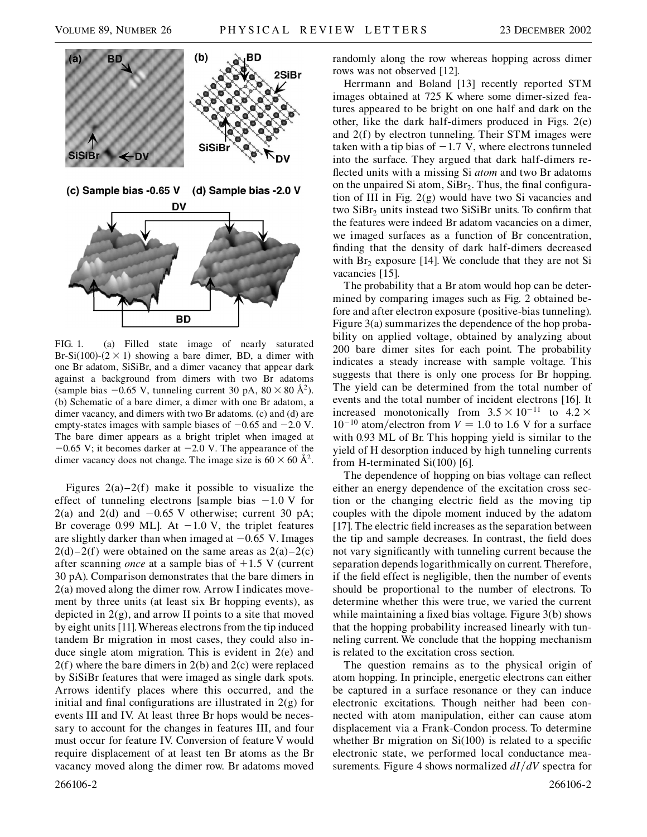

FIG. 1. (a) Filled state image of nearly saturated Br-Si(100)-( $2 \times 1$ ) showing a bare dimer, BD, a dimer with one Br adatom, SiSiBr, and a dimer vacancy that appear dark against a background from dimers with two Br adatoms (sample bias  $-0.65$  V, tunneling current 30 pA,  $80 \times 80 \text{ Å}^2$ ). (b) Schematic of a bare dimer, a dimer with one Br adatom, a dimer vacancy, and dimers with two Br adatoms. (c) and (d) are empty-states images with sample biases of  $-0.65$  and  $-2.0$  V. The bare dimer appears as a bright triplet when imaged at  $-0.65$  V; it becomes darker at  $-2.0$  V. The appearance of the dimer vacancy does not change. The image size is  $60 \times 60$   $\AA^2$ .

Figures  $2(a)-2(f)$  make it possible to visualize the effect of tunneling electrons [sample bias  $-1.0 \text{ V}$  for  $2(a)$  and  $2(d)$  and  $-0.65$  V otherwise; current 30 pA; Br coverage 0.99 ML]. At  $-1.0$  V, the triplet features are slightly darker than when imaged at  $-0.65$  V. Images  $2(d)-2(f)$  were obtained on the same areas as  $2(a)-2(c)$ after scanning *once* at a sample bias of  $+1.5$  V (current 30 pA). Comparison demonstrates that the bare dimers in 2(a) moved along the dimer row. Arrow I indicates movement by three units (at least six Br hopping events), as depicted in 2(g), and arrow II points to a site that moved by eight units [11].Whereas electrons from the tip induced tandem Br migration in most cases, they could also induce single atom migration. This is evident in 2(e) and 2(f) where the bare dimers in 2(b) and 2(c) were replaced by SiSiBr features that were imaged as single dark spots. Arrows identify places where this occurred, and the initial and final configurations are illustrated in  $2(g)$  for events III and IV. At least three Br hops would be necessary to account for the changes in features III, and four must occur for feature IV. Conversion of feature V would require displacement of at least ten Br atoms as the Br vacancy moved along the dimer row. Br adatoms moved randomly along the row whereas hopping across dimer rows was not observed [12].

Herrmann and Boland [13] recently reported STM images obtained at 725 K where some dimer-sized features appeared to be bright on one half and dark on the other, like the dark half-dimers produced in Figs. 2(e) and 2(f) by electron tunneling. Their STM images were taken with a tip bias of  $-1.7$  V, where electrons tunneled into the surface. They argued that dark half-dimers reflected units with a missing Si *atom* and two Br adatoms on the unpaired Si atom,  $SiBr<sub>2</sub>$ . Thus, the final configuration of III in Fig. 2(g) would have two Si vacancies and two  $SiBr<sub>2</sub>$  units instead two  $SiSiBr$  units. To confirm that the features were indeed Br adatom vacancies on a dimer, we imaged surfaces as a function of Br concentration, finding that the density of dark half-dimers decreased with  $Br_2$  exposure [14]. We conclude that they are not Si vacancies [15].

The probability that a Br atom would hop can be determined by comparing images such as Fig. 2 obtained before and after electron exposure (positive-bias tunneling). Figure 3(a) summarizes the dependence of the hop probability on applied voltage, obtained by analyzing about 200 bare dimer sites for each point. The probability indicates a steady increase with sample voltage. This suggests that there is only one process for Br hopping. The yield can be determined from the total number of events and the total number of incident electrons [16]. It increased monotonically from  $3.5 \times 10^{-11}$  to  $4.2 \times$  $10^{-10}$  atom/electron from  $V = 1.0$  to 1.6 V for a surface with 0.93 ML of Br. This hopping yield is similar to the yield of H desorption induced by high tunneling currents from H-terminated Si(100) [6].

The dependence of hopping on bias voltage can reflect either an energy dependence of the excitation cross section or the changing electric field as the moving tip couples with the dipole moment induced by the adatom [17]. The electric field increases as the separation between the tip and sample decreases. In contrast, the field does not vary significantly with tunneling current because the separation depends logarithmically on current. Therefore, if the field effect is negligible, then the number of events should be proportional to the number of electrons. To determine whether this were true, we varied the current while maintaining a fixed bias voltage. Figure 3(b) shows that the hopping probability increased linearly with tunneling current. We conclude that the hopping mechanism is related to the excitation cross section.

The question remains as to the physical origin of atom hopping. In principle, energetic electrons can either be captured in a surface resonance or they can induce electronic excitations. Though neither had been connected with atom manipulation, either can cause atom displacement via a Frank-Condon process. To determine whether Br migration on  $Si(100)$  is related to a specific electronic state, we performed local conductance measurements. Figure 4 shows normalized  $dI/dV$  spectra for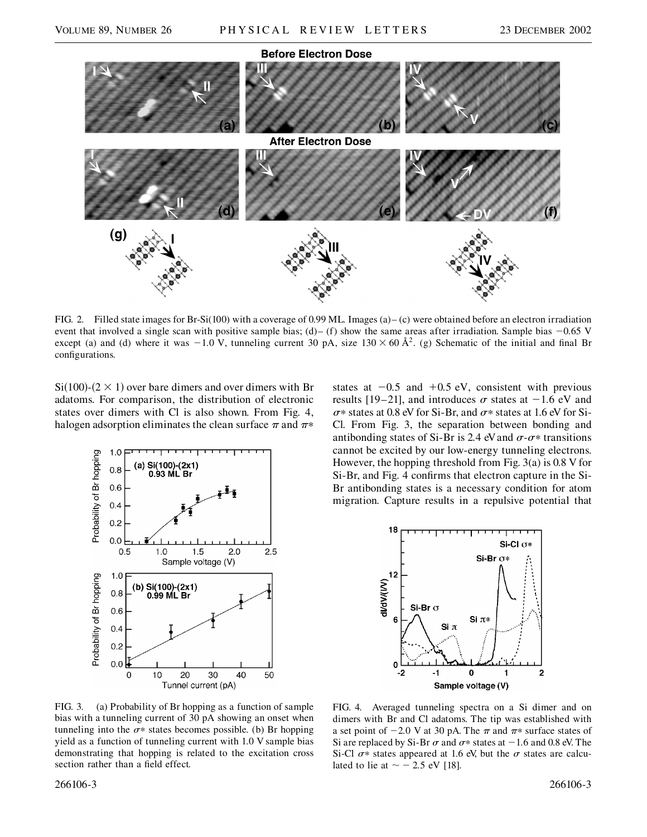

FIG. 2. Filled state images for Br-Si(100) with a coverage of 0.99 ML. Images (a)– (c) were obtained before an electron irradiation event that involved a single scan with positive sample bias;  $(d)$ – (f) show the same areas after irradiation. Sample bias  $-0.65$  V except (a) and (d) where it was  $-1.0$  V, tunneling current 30 pA, size  $130 \times 60$  Å<sup>2</sup>. (g) Schematic of the initial and final Br configurations.

 $Si(100)$ - $(2 \times 1)$  over bare dimers and over dimers with Br adatoms. For comparison, the distribution of electronic states over dimers with Cl is also shown. From Fig. 4, halogen adsorption eliminates the clean surface  $\pi$  and  $\pi^*$ 



states at  $-0.5$  and  $+0.5$  eV, consistent with previous results [19–21], and introduces  $\sigma$  states at  $-1.6$  eV and  $\sigma^*$  states at 0.8 eV for Si-Br, and  $\sigma^*$  states at 1.6 eV for Si-Cl. From Fig. 3, the separation between bonding and antibonding states of Si-Br is 2.4 eV and  $\sigma$ - $\sigma$ \* transitions cannot be excited by our low-energy tunneling electrons. However, the hopping threshold from Fig. 3(a) is 0.8 V for Si-Br, and Fig. 4 confirms that electron capture in the Si-Br antibonding states is a necessary condition for atom migration. Capture results in a repulsive potential that



FIG. 3. (a) Probability of Br hopping as a function of sample bias with a tunneling current of 30 pA showing an onset when tunneling into the  $\sigma$ <sup>\*</sup> states becomes possible. (b) Br hopping yield as a function of tunneling current with 1.0 V sample bias demonstrating that hopping is related to the excitation cross section rather than a field effect.

FIG. 4. Averaged tunneling spectra on a Si dimer and on dimers with Br and Cl adatoms. The tip was established with a set point of  $-2.0$  V at 30 pA. The  $\pi$  and  $\pi$ <sup>\*</sup> surface states of Si are replaced by Si-Br  $\sigma$  and  $\sigma$ \* states at  $-1.6$  and 0.8 eV. The Si-Cl  $\sigma^*$  states appeared at 1.6 eV, but the  $\sigma$  states are calculated to lie at  $\sim$  - 2.5 eV [18].